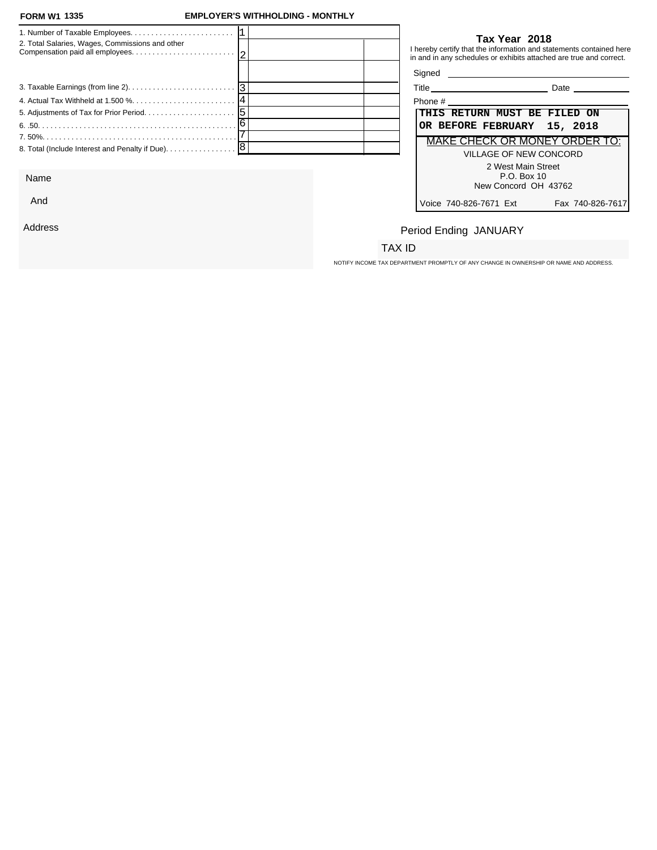### **FORM W1 EMPLOYER'S WITHHOLDING - MONTHLY**

| 2. Total Salaries, Wages, Commissions and other   |  |         | Tax Year 2018<br>I hereby certify that the information and statements contained here<br>in and in any schedules or exhibits attached are true and correct. |
|---------------------------------------------------|--|---------|------------------------------------------------------------------------------------------------------------------------------------------------------------|
|                                                   |  | Signed  |                                                                                                                                                            |
|                                                   |  |         | Date                                                                                                                                                       |
|                                                   |  | Phone # |                                                                                                                                                            |
|                                                   |  |         | <b>THIS RETURN MUST BE FILED ON</b>                                                                                                                        |
|                                                   |  |         | OR BEFORE FEBRUARY 15, 2018                                                                                                                                |
|                                                   |  |         | MAKE CHECK OR MONEY ORDER TO:                                                                                                                              |
| 8. Total (Include Interest and Penalty if Due). 8 |  |         | VILLAGE OF NEW CONCORD<br>2 West Main Street                                                                                                               |

Name

And

Address

### **Tax Year 2018**

| ™dia i<br>ше<br>$\cdots$ | חדר<br>---- |  |
|--------------------------|-------------|--|
|                          |             |  |

| Phone #                                                   |
|-----------------------------------------------------------|
| THIS RETURN MUST BE FILED ON                              |
| OR BEFORE FEBRUARY 15, 2018                               |
| MAKE CHECK OR MONEY ORDER TO:                             |
| VILLAGE OF NEW CONCORD                                    |
| 2 West Main Street<br>P.O. Box 10<br>New Concord OH 43762 |
|                                                           |
| Voice 740-826-7671 Ext<br>Fax 740-826-7617                |

# Period Ending JANUARY

### TAX ID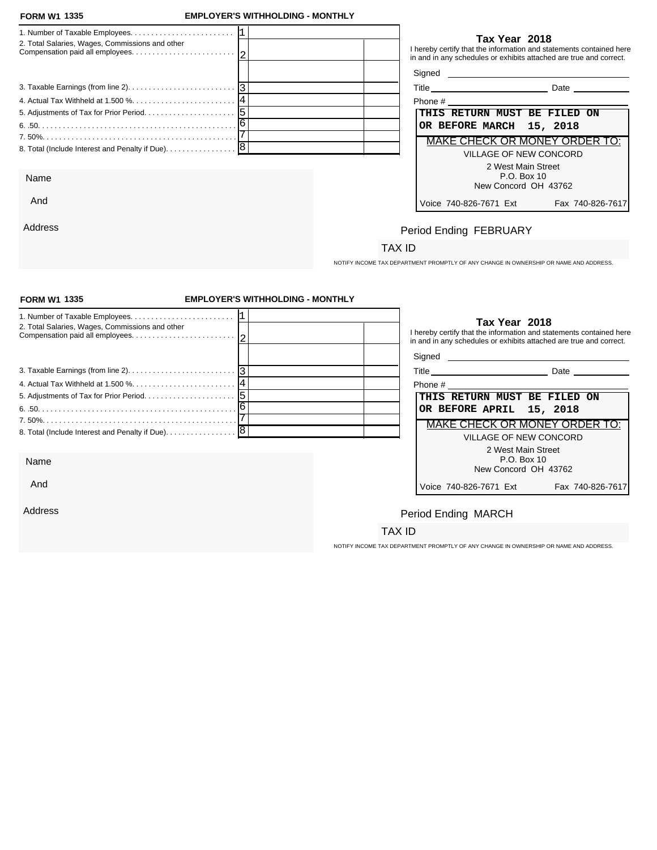And

Address

### **FORM W1 EMPLOYER'S WITHHOLDING - MONTHLY**

| 2. Total Salaries, Wages, Commissions and other                                                             | Tax Year 2018<br>I hereby certify that the information and statements contained here<br>in and in any schedules or exhibits attached are true and correct. |
|-------------------------------------------------------------------------------------------------------------|------------------------------------------------------------------------------------------------------------------------------------------------------------|
|                                                                                                             |                                                                                                                                                            |
| 3. Taxable Earnings (from line 2). $\ldots$ . $\ldots$ . $\ldots$ . $\ldots$ . $\ldots$ . $\lceil 3 \rceil$ | <b>Date Date</b>                                                                                                                                           |
|                                                                                                             | Phone #                                                                                                                                                    |
|                                                                                                             | THIS RETURN MUST BE FILED ON                                                                                                                               |
|                                                                                                             | OR BEFORE MARCH 15, 2018                                                                                                                                   |
|                                                                                                             | <b>MAKE CHECK OR MONEY ORDER TO:</b>                                                                                                                       |
| 8. Total (Include Interest and Penalty if Due). 8                                                           | VILLAGE OF NEW CONCORD                                                                                                                                     |
|                                                                                                             | 2 West Main Street                                                                                                                                         |
| Name                                                                                                        | P.O. Box 10                                                                                                                                                |
|                                                                                                             | New Concord OH 13762                                                                                                                                       |

| Phone #                                    |  |  |  |
|--------------------------------------------|--|--|--|
| THIS RETURN MUST BE FILED ON               |  |  |  |
| OR BEFORE MARCH 15, 2018                   |  |  |  |
| MAKE CHECK OR MONEY ORDER TO:              |  |  |  |
| VILLAGE OF NEW CONCORD                     |  |  |  |
| 2 West Main Street                         |  |  |  |
| P.O. Box 10                                |  |  |  |
| New Concord OH 43762                       |  |  |  |
| Fax 740-826-7617<br>Voice 740-826-7671 Ext |  |  |  |

# Period Ending FEBRUARY

### TAX ID

NOTIFY INCOME TAX DEPARTMENT PROMPTLY OF ANY CHANGE IN OWNERSHIP OR NAME AND ADDRESS.

| <b>FORM W1 1335</b>                                                                                         | <b>EMPLOYER'S WITHHOLDING - MONTHLY</b> |                                                                                                                                                            |
|-------------------------------------------------------------------------------------------------------------|-----------------------------------------|------------------------------------------------------------------------------------------------------------------------------------------------------------|
| 2. Total Salaries, Wages, Commissions and other                                                             |                                         | Tax Year 2018<br>I hereby certify that the information and statements contained here<br>in and in any schedules or exhibits attached are true and correct. |
|                                                                                                             |                                         |                                                                                                                                                            |
| 3. Taxable Earnings (from line 2). $\ldots$ . $\ldots$ . $\ldots$ . $\ldots$ . $\ldots$ . $\lceil 3 \rceil$ |                                         | Title Date Date                                                                                                                                            |
|                                                                                                             |                                         |                                                                                                                                                            |
|                                                                                                             |                                         | THIS RETURN MUST BE FILED ON                                                                                                                               |
|                                                                                                             |                                         | OR BEFORE APRIL 15, 2018                                                                                                                                   |
|                                                                                                             |                                         | <b>MAKE CHECK OR MONEY ORDER TO:</b>                                                                                                                       |
|                                                                                                             |                                         | VILLAGE OF NEW CONCORD                                                                                                                                     |
|                                                                                                             |                                         | 2 West Main Street                                                                                                                                         |
| Name                                                                                                        |                                         | P.O. Box 10                                                                                                                                                |
|                                                                                                             |                                         | New Concord OH 43762                                                                                                                                       |
| And                                                                                                         |                                         | Voice 740-826-7671 Ext<br>Fax 740-826-7617                                                                                                                 |
| Address                                                                                                     |                                         | Period Ending MARCH                                                                                                                                        |
|                                                                                                             |                                         | TAX ID                                                                                                                                                     |
|                                                                                                             |                                         |                                                                                                                                                            |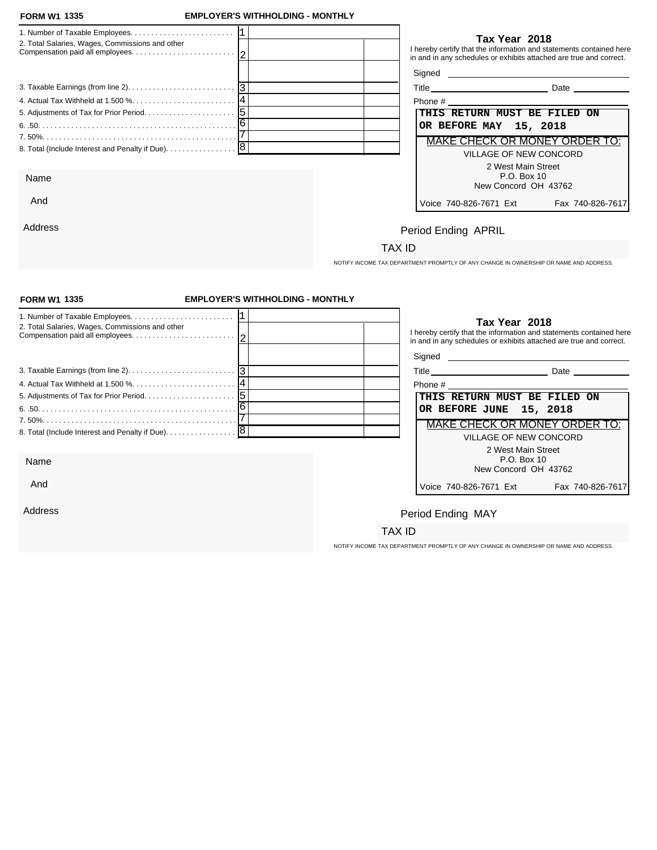And

Address

### **FORM W1 EMPLOYER'S WITHHOLDING - MONTHLY**

|                                                      | Tax Year 2018                                                                                                                             |
|------------------------------------------------------|-------------------------------------------------------------------------------------------------------------------------------------------|
| 2. Total Salaries, Wages, Commissions and other      | I hereby certify that the information and statements contained here<br>in and in any schedules or exhibits attached are true and correct. |
|                                                      | Signed _                                                                                                                                  |
|                                                      | Date                                                                                                                                      |
|                                                      | Phone #                                                                                                                                   |
| $\sqrt{5}$<br>5. Adjustments of Tax for Prior Period | THIS RETURN MUST BE FILED ON                                                                                                              |
|                                                      | OR BEFORE MAY 15, 2018                                                                                                                    |
|                                                      | MAKE CHECK OR MONEY ORDER TO:                                                                                                             |
|                                                      | VILLAGE OF NEW CONCORD                                                                                                                    |
|                                                      | 2 West Main Street                                                                                                                        |
| Name                                                 | P.O. Box 10<br>New Concord OH 43762                                                                                                       |

| Phone #                                    |
|--------------------------------------------|
| THIS RETURN MUST BE FILED ON               |
| OR BEFORE MAY 15, 2018                     |
| MAKE CHECK OR MONEY ORDER TO:              |
| VILLAGE OF NEW CONCORD                     |
| 2 West Main Street<br>$P.O.$ Box 10        |
| New Concord OH 43762                       |
| Voice 740-826-7671 Ext<br>Fax 740-826-7617 |

# Period Ending APRIL

### TAX ID

NOTIFY INCOME TAX DEPARTMENT PROMPTLY OF ANY CHANGE IN OWNERSHIP OR NAME AND ADDRESS.

| <b>FORM W1 1335</b>                                                                                 | <b>EMPLOYER'S WITHHOLDING - MONTHLY</b> |                                                                                                                                                            |
|-----------------------------------------------------------------------------------------------------|-----------------------------------------|------------------------------------------------------------------------------------------------------------------------------------------------------------|
| 2. Total Salaries, Wages, Commissions and other                                                     |                                         | Tax Year 2018<br>I hereby certify that the information and statements contained here<br>in and in any schedules or exhibits attached are true and correct. |
|                                                                                                     |                                         |                                                                                                                                                            |
| 3. Taxable Earnings (from line 2). $\ldots$ . $\ldots$ . $\ldots$ . $\ldots$ . $\ldots$ . $\vert$ 3 |                                         |                                                                                                                                                            |
|                                                                                                     |                                         | Phone #                                                                                                                                                    |
|                                                                                                     |                                         | THIS RETURN MUST BE FILED ON                                                                                                                               |
|                                                                                                     |                                         | OR BEFORE JUNE 15, 2018                                                                                                                                    |
|                                                                                                     |                                         | MAKE CHECK OR MONEY ORDER TO:                                                                                                                              |
|                                                                                                     |                                         | <b>VILLAGE OF NEW CONCORD</b>                                                                                                                              |
|                                                                                                     |                                         | 2 West Main Street                                                                                                                                         |
| Name                                                                                                |                                         | P.O. Box 10<br>New Concord OH 43762                                                                                                                        |
|                                                                                                     |                                         |                                                                                                                                                            |
| And                                                                                                 |                                         | Voice 740-826-7671 Ext<br>Fax 740-826-7617                                                                                                                 |
|                                                                                                     |                                         |                                                                                                                                                            |
| Address                                                                                             |                                         | Period Ending MAY                                                                                                                                          |
|                                                                                                     |                                         | TAX ID                                                                                                                                                     |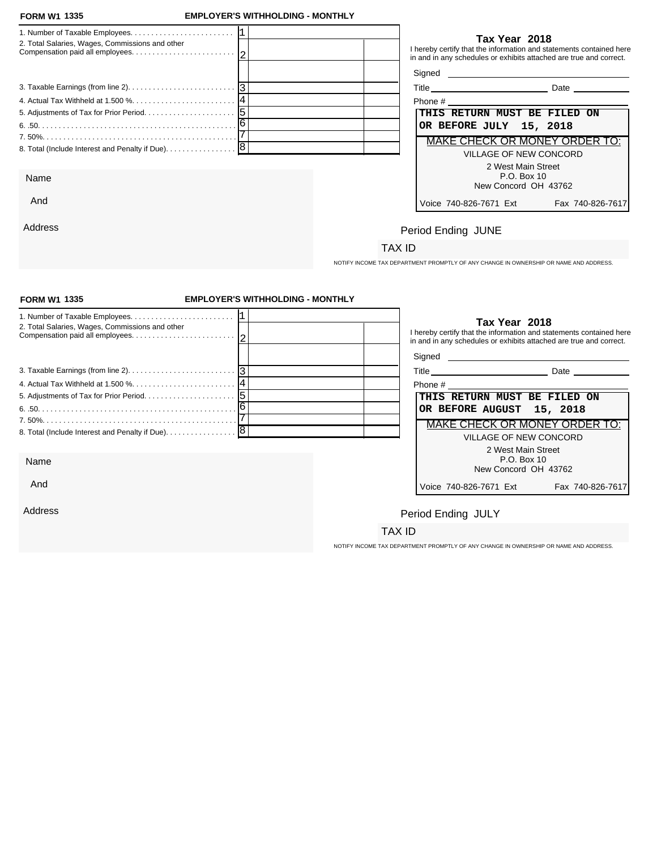Address

### **FORM W1 EMPLOYER'S WITHHOLDING - MONTHLY**

| 2. Total Salaries, Wages, Commissions and other   |  |                              | Tax Year 2018                                | I hereby certify that the information and statements contained here<br>in and in any schedules or exhibits attached are true and correct.                                                                                            |
|---------------------------------------------------|--|------------------------------|----------------------------------------------|--------------------------------------------------------------------------------------------------------------------------------------------------------------------------------------------------------------------------------------|
|                                                   |  |                              |                                              | Signed <u>example and the set of the set of the set of the set of the set of the set of the set of the set of the set of the set of the set of the set of the set of the set of the set of the set of the set of the set of the </u> |
|                                                   |  |                              |                                              | Title Date Date                                                                                                                                                                                                                      |
|                                                   |  |                              |                                              |                                                                                                                                                                                                                                      |
|                                                   |  | THIS RETURN MUST BE FILED ON |                                              |                                                                                                                                                                                                                                      |
|                                                   |  | OR BEFORE JULY 15, 2018      |                                              |                                                                                                                                                                                                                                      |
|                                                   |  |                              |                                              | MAKE CHECK OR MONEY ORDER TO:                                                                                                                                                                                                        |
| 8. Total (Include Interest and Penalty if Due). 8 |  |                              | VILLAGE OF NEW CONCORD<br>2 West Main Street |                                                                                                                                                                                                                                      |
| Name                                              |  |                              | P.O. Box 10<br>New Concord OH 43762          |                                                                                                                                                                                                                                      |
| And                                               |  | Voice 740-826-7671 Fxt       |                                              | Fax 740-826-7617                                                                                                                                                                                                                     |

| Phone #                                                   |  |
|-----------------------------------------------------------|--|
| THIS RETURN MUST BE FILED ON                              |  |
| OR BEFORE JULY 15, 2018                                   |  |
| <b>MAKE CHECK OR MONEY ORDER TO:</b>                      |  |
| VILLAGE OF NEW CONCORD                                    |  |
| 2 West Main Street<br>P.O. Box 10<br>New Concord OH 43762 |  |
| Voice 740-826-7671 Ext<br>Fax 740-826-7617                |  |

# Period Ending JUNE

### TAX ID

NOTIFY INCOME TAX DEPARTMENT PROMPTLY OF ANY CHANGE IN OWNERSHIP OR NAME AND ADDRESS.

| <b>FORM W1 1335</b>                                                                                         | <b>EMPLOYER'S WITHHOLDING - MONTHLY</b> |                                                                                                                                                            |
|-------------------------------------------------------------------------------------------------------------|-----------------------------------------|------------------------------------------------------------------------------------------------------------------------------------------------------------|
| 2. Total Salaries, Wages, Commissions and other                                                             |                                         | Tax Year 2018<br>I hereby certify that the information and statements contained here<br>in and in any schedules or exhibits attached are true and correct. |
|                                                                                                             |                                         |                                                                                                                                                            |
| 3. Taxable Earnings (from line 2). $\ldots$ . $\ldots$ . $\ldots$ . $\ldots$ . $\ldots$ . $\lceil 3 \rceil$ |                                         |                                                                                                                                                            |
|                                                                                                             |                                         | Phone #                                                                                                                                                    |
|                                                                                                             |                                         | THIS RETURN MUST BE FILED ON                                                                                                                               |
|                                                                                                             |                                         | OR BEFORE AUGUST 15, 2018                                                                                                                                  |
|                                                                                                             |                                         | <b>MAKE CHECK OR MONEY ORDER TO:</b>                                                                                                                       |
| 8. Total (Include Interest and Penalty if Due). [8]                                                         |                                         | <b>VILLAGE OF NEW CONCORD</b>                                                                                                                              |
|                                                                                                             |                                         | 2 West Main Street                                                                                                                                         |
| Name                                                                                                        |                                         | P.O. Box 10<br>New Concord OH 43762                                                                                                                        |
| And                                                                                                         |                                         | Voice 740-826-7671 Ext<br>Fax 740-826-7617                                                                                                                 |
| Address                                                                                                     |                                         | Period Ending JULY                                                                                                                                         |
|                                                                                                             |                                         | TAX ID                                                                                                                                                     |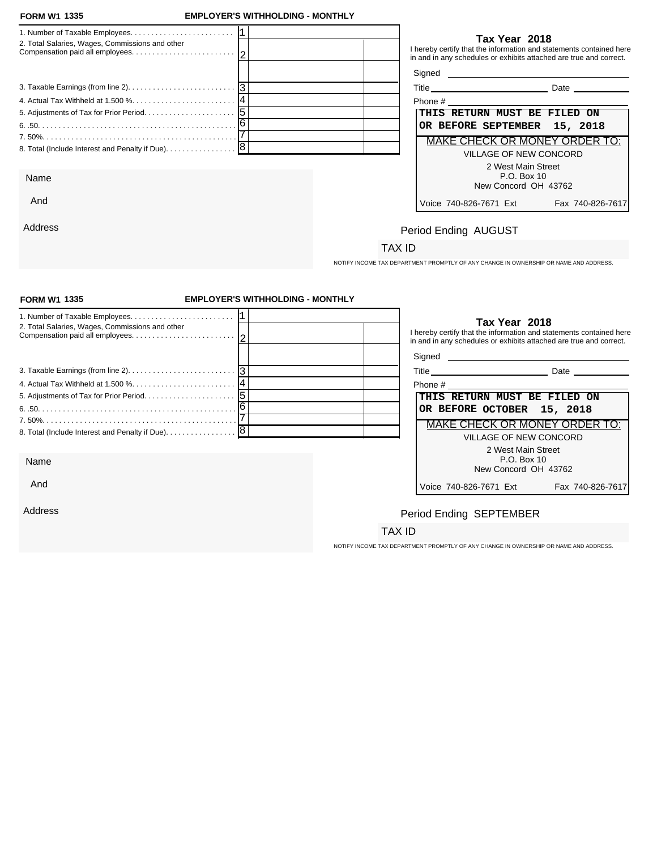And

Address

### **FORM W1 EMPLOYER'S WITHHOLDING - MONTHLY**

| 2. Total Salaries, Wages, Commissions and other | Tax Year 2018<br>I hereby certify that the information and statements contained here<br>in and in any schedules or exhibits attached are true and correct. |
|-------------------------------------------------|------------------------------------------------------------------------------------------------------------------------------------------------------------|
|                                                 |                                                                                                                                                            |
|                                                 | <b>Date Date</b>                                                                                                                                           |
|                                                 | Phone # 2008 and 2008 and 2008 and 2008 and 2008 and 2008 and 2008 and 2008 and 2008 and 2008 and 2008 and 200                                             |
|                                                 | THIS RETURN MUST BE FILED ON                                                                                                                               |
|                                                 | OR BEFORE SEPTEMBER 15, 2018                                                                                                                               |
|                                                 | MAKE CHECK OR MONEY ORDER TO:                                                                                                                              |
|                                                 | VILLAGE OF NEW CONCORD                                                                                                                                     |
|                                                 | 2 West Main Street                                                                                                                                         |
| Name                                            | P.O. Box 10                                                                                                                                                |
|                                                 | New Concord OH 43762                                                                                                                                       |

| Phone #                       |                  |
|-------------------------------|------------------|
| THIS RETURN MUST BE FILED ON  |                  |
| OR BEFORE SEPTEMBER 15, 2018  |                  |
| MAKE CHECK OR MONEY ORDER TO: |                  |
| VILLAGE OF NEW CONCORD        |                  |
| 2 West Main Street            |                  |
| P.O. Box 10                   |                  |
| New Concord OH 43762          |                  |
| Voice 740-826-7671 Ext        | Fax 740-826-7617 |

# Period Ending AUGUST

### TAX ID

NOTIFY INCOME TAX DEPARTMENT PROMPTLY OF ANY CHANGE IN OWNERSHIP OR NAME AND ADDRESS.

| <b>FORM W1 1335</b>                                                                         | <b>EMPLOYER'S WITHHOLDING - MONTHLY</b> |                                                                                                                                                            |                               |
|---------------------------------------------------------------------------------------------|-----------------------------------------|------------------------------------------------------------------------------------------------------------------------------------------------------------|-------------------------------|
| 2. Total Salaries, Wages, Commissions and other                                             |                                         | Tax Year 2018<br>I hereby certify that the information and statements contained here<br>in and in any schedules or exhibits attached are true and correct. |                               |
| 3. Taxable Earnings (from line 2). $\ldots$ . $\ldots$ . $\ldots$ . $\ldots$ . $\ldots$   3 |                                         | Title Date Date                                                                                                                                            |                               |
|                                                                                             |                                         | Phone #                                                                                                                                                    |                               |
|                                                                                             |                                         | THIS RETURN MUST BE FILED ON                                                                                                                               |                               |
|                                                                                             |                                         | OR BEFORE OCTOBER 15, 2018                                                                                                                                 |                               |
|                                                                                             |                                         |                                                                                                                                                            | MAKE CHECK OR MONEY ORDER TO: |
| 8. Total (Include Interest and Penalty if Due). 8                                           |                                         | <b>VILLAGE OF NEW CONCORD</b>                                                                                                                              |                               |
|                                                                                             |                                         |                                                                                                                                                            | 2 West Main Street            |
| Name                                                                                        |                                         | P.O. Box 10                                                                                                                                                | New Concord OH 43762          |
| And                                                                                         |                                         | Voice 740-826-7671 Ext                                                                                                                                     | Fax 740-826-7617              |
| Address                                                                                     |                                         | Period Ending SEPTEMBER                                                                                                                                    |                               |
|                                                                                             |                                         | TAX ID                                                                                                                                                     |                               |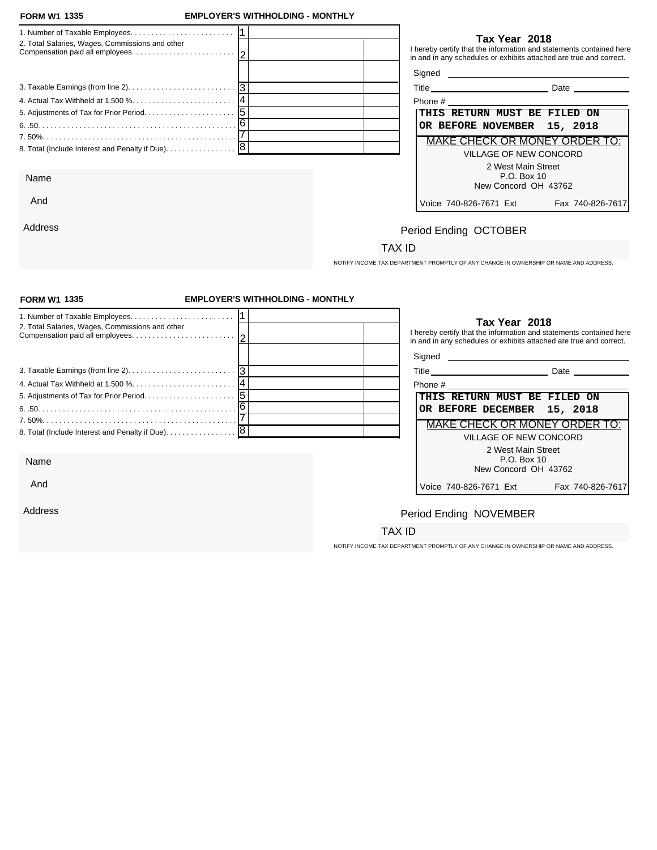And

Address

### **FORM W1 EMPLOYER'S WITHHOLDING - MONTHLY**

| 2. Total Salaries, Wages, Commissions and other   | Tax Year 2018<br>I hereby certify that the information and statements contained here<br>in and in any schedules or exhibits attached are true and correct. |
|---------------------------------------------------|------------------------------------------------------------------------------------------------------------------------------------------------------------|
|                                                   | Signed <b>Signed</b>                                                                                                                                       |
|                                                   | Date ___________                                                                                                                                           |
|                                                   | Phone # 2008 2009 2012 2022 2023 2024 2022 2022 2023 2024 2022 2023 2024 2022 2023 2024 2022 2023 20                                                       |
|                                                   | THIS RETURN MUST BE FILED ON                                                                                                                               |
|                                                   | OR BEFORE NOVEMBER 15, 2018                                                                                                                                |
|                                                   | MAKE CHECK OR MONEY ORDER TO:                                                                                                                              |
| 8. Total (Include Interest and Penalty if Due). 8 | VILLAGE OF NEW CONCORD                                                                                                                                     |
|                                                   | 2 West Main Street                                                                                                                                         |
| Name                                              | P.O. Box 10                                                                                                                                                |
|                                                   | New Concord OH 43762                                                                                                                                       |

| Phone #                                    |
|--------------------------------------------|
| THIS RETURN MUST BE FILED ON               |
| OR BEFORE NOVEMBER 15, 2018                |
| MAKE CHECK OR MONEY ORDER TO:              |
| VILLAGE OF NEW CONCORD                     |
| 2 West Main Street                         |
| P.O. Box 10                                |
| New Concord OH 43762                       |
| Voice 740-826-7671 Ext<br>Fax 740-826-7617 |

# Period Ending OCTOBER

### TAX ID

NOTIFY INCOME TAX DEPARTMENT PROMPTLY OF ANY CHANGE IN OWNERSHIP OR NAME AND ADDRESS.

| <b>FORM W1 1335</b>                                                                             | <b>EMPLOYER'S WITHHOLDING - MONTHLY</b> |                                                                                                                                                            |
|-------------------------------------------------------------------------------------------------|-----------------------------------------|------------------------------------------------------------------------------------------------------------------------------------------------------------|
| 2. Total Salaries, Wages, Commissions and other                                                 |                                         | Tax Year 2018<br>I hereby certify that the information and statements contained here<br>in and in any schedules or exhibits attached are true and correct. |
| 3. Taxable Earnings (from line 2). $\ldots$ . $\ldots$ . $\ldots$ . $\ldots$ . $\ldots$ . $ 3 $ |                                         | Signed <b>Signed</b>                                                                                                                                       |
|                                                                                                 |                                         | Title Date Date                                                                                                                                            |
|                                                                                                 |                                         | THIS RETURN MUST BE FILED ON                                                                                                                               |
|                                                                                                 |                                         | OR BEFORE DECEMBER 15, 2018                                                                                                                                |
|                                                                                                 |                                         | MAKE CHECK OR MONEY ORDER TO:                                                                                                                              |
|                                                                                                 |                                         | <b>VILLAGE OF NEW CONCORD</b>                                                                                                                              |
|                                                                                                 |                                         | 2 West Main Street                                                                                                                                         |
| Name                                                                                            |                                         | P.O. Box 10<br>New Concord OH 43762                                                                                                                        |
| And                                                                                             |                                         | Voice 740-826-7671 Ext<br>Fax 740-826-7617                                                                                                                 |
| Address                                                                                         |                                         | Period Ending NOVEMBER                                                                                                                                     |
|                                                                                                 |                                         | TAX ID                                                                                                                                                     |